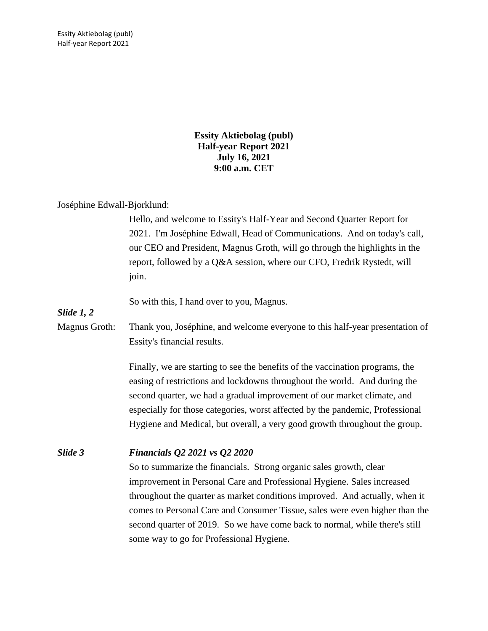Essity Aktiebolag (publ) Half-year Report 2021

> **Essity Aktiebolag (publ) Half-year Report 2021 July 16, 2021 9:00 a.m. CET**

#### Joséphine Edwall-Bjorklund:

Hello, and welcome to Essity's Half-Year and Second Quarter Report for 2021. I'm Joséphine Edwall, Head of Communications. And on today's call, our CEO and President, Magnus Groth, will go through the highlights in the report, followed by a Q&A session, where our CFO, Fredrik Rystedt, will join.

So with this, I hand over to you, Magnus.

*Slide 1, 2*

Magnus Groth: Thank you, Joséphine, and welcome everyone to this half-year presentation of Essity's financial results.

> Finally, we are starting to see the benefits of the vaccination programs, the easing of restrictions and lockdowns throughout the world. And during the second quarter, we had a gradual improvement of our market climate, and especially for those categories, worst affected by the pandemic, Professional Hygiene and Medical, but overall, a very good growth throughout the group.

#### *Slide 3 Financials Q2 2021 vs Q2 2020*

So to summarize the financials. Strong organic sales growth, clear improvement in Personal Care and Professional Hygiene. Sales increased throughout the quarter as market conditions improved. And actually, when it comes to Personal Care and Consumer Tissue, sales were even higher than the second quarter of 2019. So we have come back to normal, while there's still some way to go for Professional Hygiene.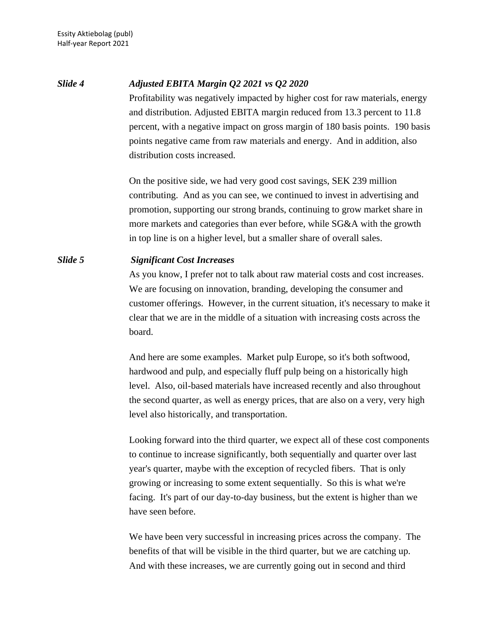*Slide 4 Adjusted EBITA Margin Q2 2021 vs Q2 2020* Profitability was negatively impacted by higher cost for raw materials, energy and distribution. Adjusted EBITA margin reduced from 13.3 percent to 11.8 percent, with a negative impact on gross margin of 180 basis points. 190 basis points negative came from raw materials and energy. And in addition, also distribution costs increased.

> On the positive side, we had very good cost savings, SEK 239 million contributing. And as you can see, we continued to invest in advertising and promotion, supporting our strong brands, continuing to grow market share in more markets and categories than ever before, while SG&A with the growth in top line is on a higher level, but a smaller share of overall sales.

### *Slide 5 Significant Cost Increases*

As you know, I prefer not to talk about raw material costs and cost increases. We are focusing on innovation, branding, developing the consumer and customer offerings. However, in the current situation, it's necessary to make it clear that we are in the middle of a situation with increasing costs across the board.

And here are some examples. Market pulp Europe, so it's both softwood, hardwood and pulp, and especially fluff pulp being on a historically high level. Also, oil-based materials have increased recently and also throughout the second quarter, as well as energy prices, that are also on a very, very high level also historically, and transportation.

Looking forward into the third quarter, we expect all of these cost components to continue to increase significantly, both sequentially and quarter over last year's quarter, maybe with the exception of recycled fibers. That is only growing or increasing to some extent sequentially. So this is what we're facing. It's part of our day-to-day business, but the extent is higher than we have seen before.

We have been very successful in increasing prices across the company. The benefits of that will be visible in the third quarter, but we are catching up. And with these increases, we are currently going out in second and third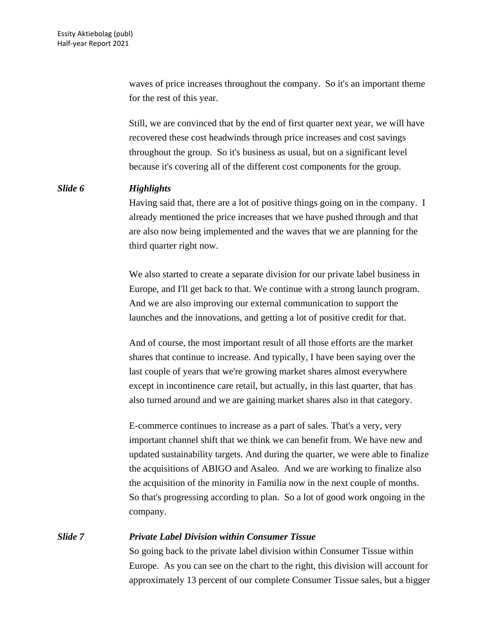waves of price increases throughout the company. So it's an important theme for the rest of this year.

Still, we are convinced that by the end of first quarter next year, we will have recovered these cost headwinds through price increases and cost savings throughout the group. So it's business as usual, but on a significant level because it's covering all of the different cost components for the group.

#### *Slide 6 Highlights*

Having said that, there are a lot of positive things going on in the company. I already mentioned the price increases that we have pushed through and that are also now being implemented and the waves that we are planning for the third quarter right now.

We also started to create a separate division for our private label business in Europe, and I'll get back to that. We continue with a strong launch program. And we are also improving our external communication to support the launches and the innovations, and getting a lot of positive credit for that.

And of course, the most important result of all those efforts are the market shares that continue to increase. And typically, I have been saying over the last couple of years that we're growing market shares almost everywhere except in incontinence care retail, but actually, in this last quarter, that has also turned around and we are gaining market shares also in that category.

E-commerce continues to increase as a part of sales. That's a very, very important channel shift that we think we can benefit from. We have new and updated sustainability targets. And during the quarter, we were able to finalize the acquisitions of ABIGO and Asaleo. And we are working to finalize also the acquisition of the minority in Familia now in the next couple of months. So that's progressing according to plan. So a lot of good work ongoing in the company.

# *Slide 7 Private Label Division within Consumer Tissue*

So going back to the private label division within Consumer Tissue within Europe. As you can see on the chart to the right, this division will account for approximately 13 percent of our complete Consumer Tissue sales, but a bigger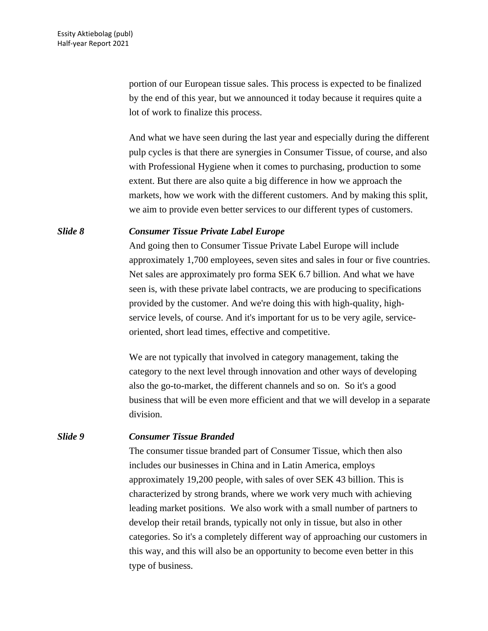portion of our European tissue sales. This process is expected to be finalized by the end of this year, but we announced it today because it requires quite a lot of work to finalize this process.

And what we have seen during the last year and especially during the different pulp cycles is that there are synergies in Consumer Tissue, of course, and also with Professional Hygiene when it comes to purchasing, production to some extent. But there are also quite a big difference in how we approach the markets, how we work with the different customers. And by making this split, we aim to provide even better services to our different types of customers.

#### *Slide 8 Consumer Tissue Private Label Europe*

And going then to Consumer Tissue Private Label Europe will include approximately 1,700 employees, seven sites and sales in four or five countries. Net sales are approximately pro forma SEK 6.7 billion. And what we have seen is, with these private label contracts, we are producing to specifications provided by the customer. And we're doing this with high-quality, highservice levels, of course. And it's important for us to be very agile, serviceoriented, short lead times, effective and competitive.

We are not typically that involved in category management, taking the category to the next level through innovation and other ways of developing also the go-to-market, the different channels and so on. So it's a good business that will be even more efficient and that we will develop in a separate division.

#### *Slide 9 Consumer Tissue Branded*

The consumer tissue branded part of Consumer Tissue, which then also includes our businesses in China and in Latin America, employs approximately 19,200 people, with sales of over SEK 43 billion. This is characterized by strong brands, where we work very much with achieving leading market positions. We also work with a small number of partners to develop their retail brands, typically not only in tissue, but also in other categories. So it's a completely different way of approaching our customers in this way, and this will also be an opportunity to become even better in this type of business.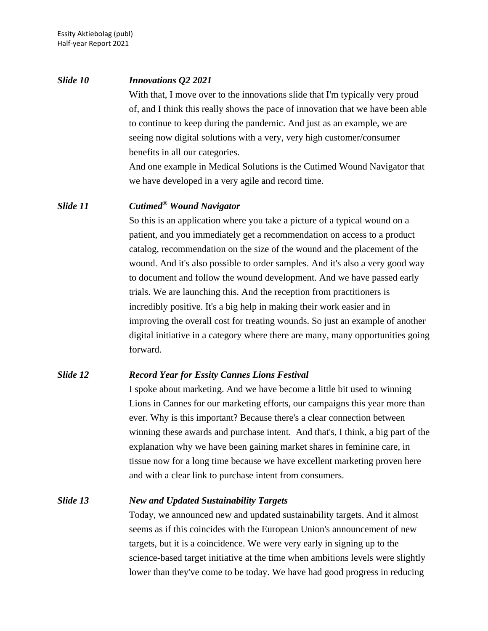# *Slide 10 Innovations Q2 2021* With that, I move over to the innovations slide that I'm typically very proud of, and I think this really shows the pace of innovation that we have been able to continue to keep during the pandemic. And just as an example, we are seeing now digital solutions with a very, very high customer/consumer benefits in all our categories. And one example in Medical Solutions is the Cutimed Wound Navigator that we have developed in a very agile and record time.

# *Slide 11 Cutimed® Wound Navigator*

So this is an application where you take a picture of a typical wound on a patient, and you immediately get a recommendation on access to a product catalog, recommendation on the size of the wound and the placement of the wound. And it's also possible to order samples. And it's also a very good way to document and follow the wound development. And we have passed early trials. We are launching this. And the reception from practitioners is incredibly positive. It's a big help in making their work easier and in improving the overall cost for treating wounds. So just an example of another digital initiative in a category where there are many, many opportunities going forward.

# *Slide 12 Record Year for Essity Cannes Lions Festival*

I spoke about marketing. And we have become a little bit used to winning Lions in Cannes for our marketing efforts, our campaigns this year more than ever. Why is this important? Because there's a clear connection between winning these awards and purchase intent. And that's, I think, a big part of the explanation why we have been gaining market shares in feminine care, in tissue now for a long time because we have excellent marketing proven here and with a clear link to purchase intent from consumers.

### *Slide 13 New and Updated Sustainability Targets*

Today, we announced new and updated sustainability targets. And it almost seems as if this coincides with the European Union's announcement of new targets, but it is a coincidence. We were very early in signing up to the science-based target initiative at the time when ambitions levels were slightly lower than they've come to be today. We have had good progress in reducing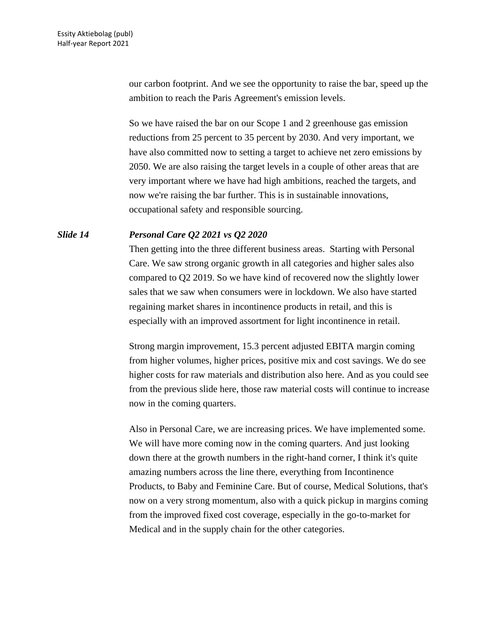our carbon footprint. And we see the opportunity to raise the bar, speed up the ambition to reach the Paris Agreement's emission levels.

So we have raised the bar on our Scope 1 and 2 greenhouse gas emission reductions from 25 percent to 35 percent by 2030. And very important, we have also committed now to setting a target to achieve net zero emissions by 2050. We are also raising the target levels in a couple of other areas that are very important where we have had high ambitions, reached the targets, and now we're raising the bar further. This is in sustainable innovations, occupational safety and responsible sourcing.

# *Slide 14 Personal Care Q2 2021 vs Q2 2020*

Then getting into the three different business areas. Starting with Personal Care. We saw strong organic growth in all categories and higher sales also compared to Q2 2019. So we have kind of recovered now the slightly lower sales that we saw when consumers were in lockdown. We also have started regaining market shares in incontinence products in retail, and this is especially with an improved assortment for light incontinence in retail.

Strong margin improvement, 15.3 percent adjusted EBITA margin coming from higher volumes, higher prices, positive mix and cost savings. We do see higher costs for raw materials and distribution also here. And as you could see from the previous slide here, those raw material costs will continue to increase now in the coming quarters.

Also in Personal Care, we are increasing prices. We have implemented some. We will have more coming now in the coming quarters. And just looking down there at the growth numbers in the right-hand corner, I think it's quite amazing numbers across the line there, everything from Incontinence Products, to Baby and Feminine Care. But of course, Medical Solutions, that's now on a very strong momentum, also with a quick pickup in margins coming from the improved fixed cost coverage, especially in the go-to-market for Medical and in the supply chain for the other categories.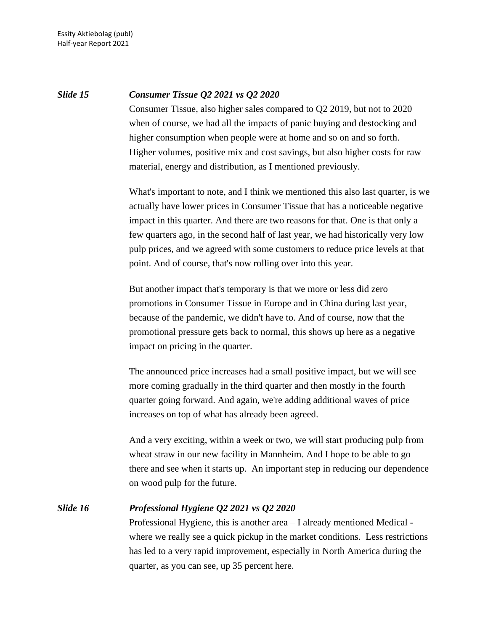# *Slide 15 Consumer Tissue Q2 2021 vs Q2 2020*

Consumer Tissue, also higher sales compared to Q2 2019, but not to 2020 when of course, we had all the impacts of panic buying and destocking and higher consumption when people were at home and so on and so forth. Higher volumes, positive mix and cost savings, but also higher costs for raw material, energy and distribution, as I mentioned previously.

What's important to note, and I think we mentioned this also last quarter, is we actually have lower prices in Consumer Tissue that has a noticeable negative impact in this quarter. And there are two reasons for that. One is that only a few quarters ago, in the second half of last year, we had historically very low pulp prices, and we agreed with some customers to reduce price levels at that point. And of course, that's now rolling over into this year.

But another impact that's temporary is that we more or less did zero promotions in Consumer Tissue in Europe and in China during last year, because of the pandemic, we didn't have to. And of course, now that the promotional pressure gets back to normal, this shows up here as a negative impact on pricing in the quarter.

The announced price increases had a small positive impact, but we will see more coming gradually in the third quarter and then mostly in the fourth quarter going forward. And again, we're adding additional waves of price increases on top of what has already been agreed.

And a very exciting, within a week or two, we will start producing pulp from wheat straw in our new facility in Mannheim. And I hope to be able to go there and see when it starts up. An important step in reducing our dependence on wood pulp for the future.

# *Slide 16 Professional Hygiene Q2 2021 vs Q2 2020*

Professional Hygiene, this is another area – I already mentioned Medical where we really see a quick pickup in the market conditions. Less restrictions has led to a very rapid improvement, especially in North America during the quarter, as you can see, up 35 percent here.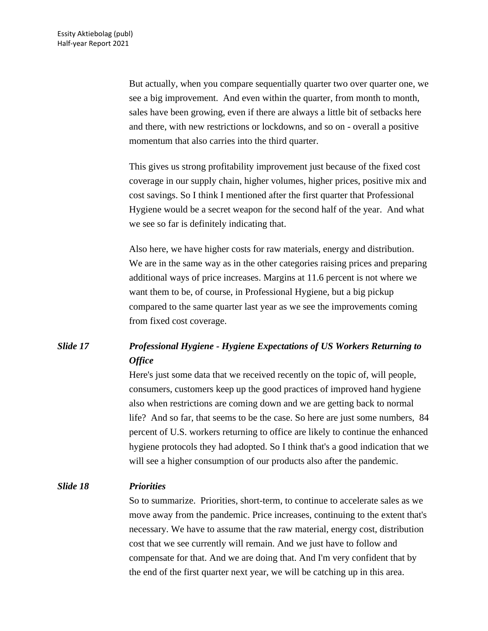But actually, when you compare sequentially quarter two over quarter one, we see a big improvement. And even within the quarter, from month to month, sales have been growing, even if there are always a little bit of setbacks here and there, with new restrictions or lockdowns, and so on - overall a positive momentum that also carries into the third quarter.

This gives us strong profitability improvement just because of the fixed cost coverage in our supply chain, higher volumes, higher prices, positive mix and cost savings. So I think I mentioned after the first quarter that Professional Hygiene would be a secret weapon for the second half of the year. And what we see so far is definitely indicating that.

Also here, we have higher costs for raw materials, energy and distribution. We are in the same way as in the other categories raising prices and preparing additional ways of price increases. Margins at 11.6 percent is not where we want them to be, of course, in Professional Hygiene, but a big pickup compared to the same quarter last year as we see the improvements coming from fixed cost coverage.

# *Slide 17 Professional Hygiene - Hygiene Expectations of US Workers Returning to Office*

Here's just some data that we received recently on the topic of, will people, consumers, customers keep up the good practices of improved hand hygiene also when restrictions are coming down and we are getting back to normal life? And so far, that seems to be the case. So here are just some numbers, 84 percent of U.S. workers returning to office are likely to continue the enhanced hygiene protocols they had adopted. So I think that's a good indication that we will see a higher consumption of our products also after the pandemic.

# *Slide 18 Priorities*

So to summarize. Priorities, short-term, to continue to accelerate sales as we move away from the pandemic. Price increases, continuing to the extent that's necessary. We have to assume that the raw material, energy cost, distribution cost that we see currently will remain. And we just have to follow and compensate for that. And we are doing that. And I'm very confident that by the end of the first quarter next year, we will be catching up in this area.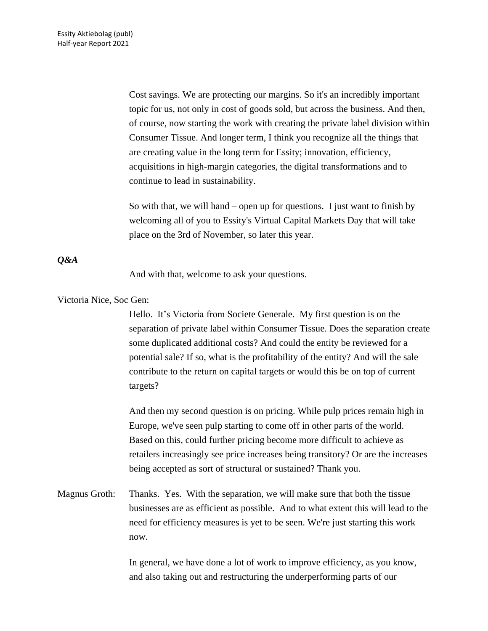Cost savings. We are protecting our margins. So it's an incredibly important topic for us, not only in cost of goods sold, but across the business. And then, of course, now starting the work with creating the private label division within Consumer Tissue. And longer term, I think you recognize all the things that are creating value in the long term for Essity; innovation, efficiency, acquisitions in high-margin categories, the digital transformations and to continue to lead in sustainability.

So with that, we will hand – open up for questions. I just want to finish by welcoming all of you to Essity's Virtual Capital Markets Day that will take place on the 3rd of November, so later this year.

# *Q&A*

And with that, welcome to ask your questions.

Victoria Nice, Soc Gen:

Hello. It's Victoria from Societe Generale. My first question is on the separation of private label within Consumer Tissue. Does the separation create some duplicated additional costs? And could the entity be reviewed for a potential sale? If so, what is the profitability of the entity? And will the sale contribute to the return on capital targets or would this be on top of current targets?

And then my second question is on pricing. While pulp prices remain high in Europe, we've seen pulp starting to come off in other parts of the world. Based on this, could further pricing become more difficult to achieve as retailers increasingly see price increases being transitory? Or are the increases being accepted as sort of structural or sustained? Thank you.

Magnus Groth: Thanks. Yes. With the separation, we will make sure that both the tissue businesses are as efficient as possible. And to what extent this will lead to the need for efficiency measures is yet to be seen. We're just starting this work now.

> In general, we have done a lot of work to improve efficiency, as you know, and also taking out and restructuring the underperforming parts of our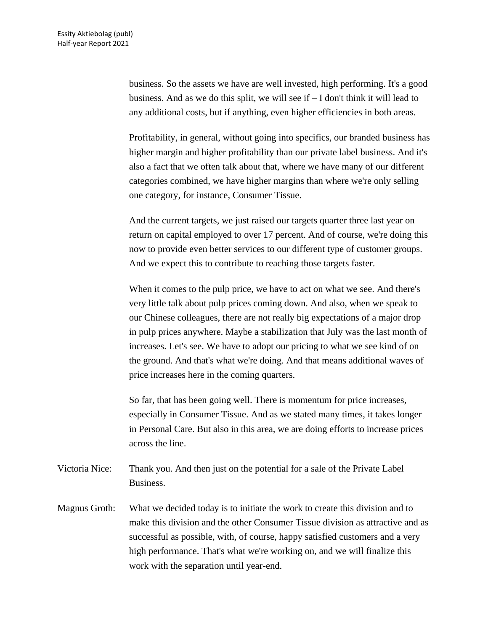business. So the assets we have are well invested, high performing. It's a good business. And as we do this split, we will see if – I don't think it will lead to any additional costs, but if anything, even higher efficiencies in both areas.

Profitability, in general, without going into specifics, our branded business has higher margin and higher profitability than our private label business. And it's also a fact that we often talk about that, where we have many of our different categories combined, we have higher margins than where we're only selling one category, for instance, Consumer Tissue.

And the current targets, we just raised our targets quarter three last year on return on capital employed to over 17 percent. And of course, we're doing this now to provide even better services to our different type of customer groups. And we expect this to contribute to reaching those targets faster.

When it comes to the pulp price, we have to act on what we see. And there's very little talk about pulp prices coming down. And also, when we speak to our Chinese colleagues, there are not really big expectations of a major drop in pulp prices anywhere. Maybe a stabilization that July was the last month of increases. Let's see. We have to adopt our pricing to what we see kind of on the ground. And that's what we're doing. And that means additional waves of price increases here in the coming quarters.

So far, that has been going well. There is momentum for price increases, especially in Consumer Tissue. And as we stated many times, it takes longer in Personal Care. But also in this area, we are doing efforts to increase prices across the line.

- Victoria Nice: Thank you. And then just on the potential for a sale of the Private Label Business.
- Magnus Groth: What we decided today is to initiate the work to create this division and to make this division and the other Consumer Tissue division as attractive and as successful as possible, with, of course, happy satisfied customers and a very high performance. That's what we're working on, and we will finalize this work with the separation until year-end.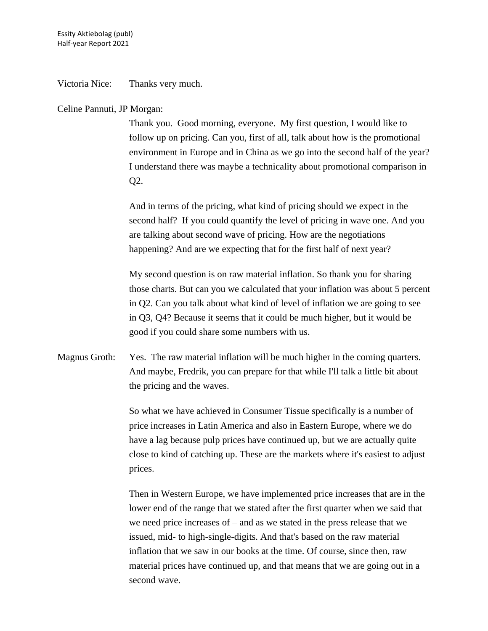Victoria Nice: Thanks very much.

### Celine Pannuti, JP Morgan:

Thank you. Good morning, everyone. My first question, I would like to follow up on pricing. Can you, first of all, talk about how is the promotional environment in Europe and in China as we go into the second half of the year? I understand there was maybe a technicality about promotional comparison in Q2.

And in terms of the pricing, what kind of pricing should we expect in the second half? If you could quantify the level of pricing in wave one. And you are talking about second wave of pricing. How are the negotiations happening? And are we expecting that for the first half of next year?

My second question is on raw material inflation. So thank you for sharing those charts. But can you we calculated that your inflation was about 5 percent in Q2. Can you talk about what kind of level of inflation we are going to see in Q3, Q4? Because it seems that it could be much higher, but it would be good if you could share some numbers with us.

Magnus Groth: Yes. The raw material inflation will be much higher in the coming quarters. And maybe, Fredrik, you can prepare for that while I'll talk a little bit about the pricing and the waves.

> So what we have achieved in Consumer Tissue specifically is a number of price increases in Latin America and also in Eastern Europe, where we do have a lag because pulp prices have continued up, but we are actually quite close to kind of catching up. These are the markets where it's easiest to adjust prices.

> Then in Western Europe, we have implemented price increases that are in the lower end of the range that we stated after the first quarter when we said that we need price increases of – and as we stated in the press release that we issued, mid- to high-single-digits. And that's based on the raw material inflation that we saw in our books at the time. Of course, since then, raw material prices have continued up, and that means that we are going out in a second wave.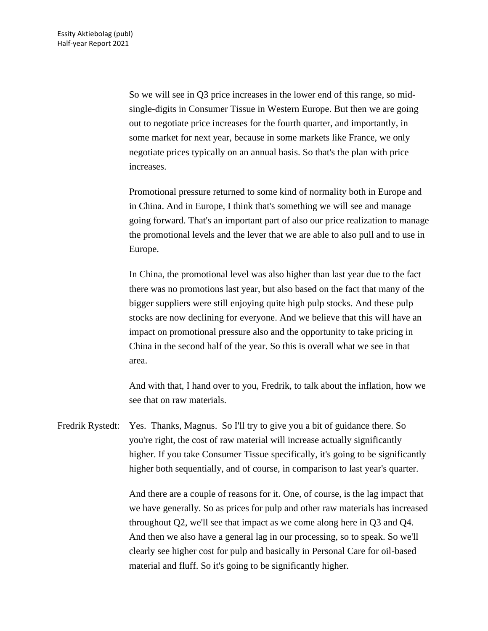So we will see in Q3 price increases in the lower end of this range, so midsingle-digits in Consumer Tissue in Western Europe. But then we are going out to negotiate price increases for the fourth quarter, and importantly, in some market for next year, because in some markets like France, we only negotiate prices typically on an annual basis. So that's the plan with price increases.

Promotional pressure returned to some kind of normality both in Europe and in China. And in Europe, I think that's something we will see and manage going forward. That's an important part of also our price realization to manage the promotional levels and the lever that we are able to also pull and to use in Europe.

In China, the promotional level was also higher than last year due to the fact there was no promotions last year, but also based on the fact that many of the bigger suppliers were still enjoying quite high pulp stocks. And these pulp stocks are now declining for everyone. And we believe that this will have an impact on promotional pressure also and the opportunity to take pricing in China in the second half of the year. So this is overall what we see in that area.

And with that, I hand over to you, Fredrik, to talk about the inflation, how we see that on raw materials.

Fredrik Rystedt: Yes. Thanks, Magnus. So I'll try to give you a bit of guidance there. So you're right, the cost of raw material will increase actually significantly higher. If you take Consumer Tissue specifically, it's going to be significantly higher both sequentially, and of course, in comparison to last year's quarter.

> And there are a couple of reasons for it. One, of course, is the lag impact that we have generally. So as prices for pulp and other raw materials has increased throughout Q2, we'll see that impact as we come along here in Q3 and Q4. And then we also have a general lag in our processing, so to speak. So we'll clearly see higher cost for pulp and basically in Personal Care for oil-based material and fluff. So it's going to be significantly higher.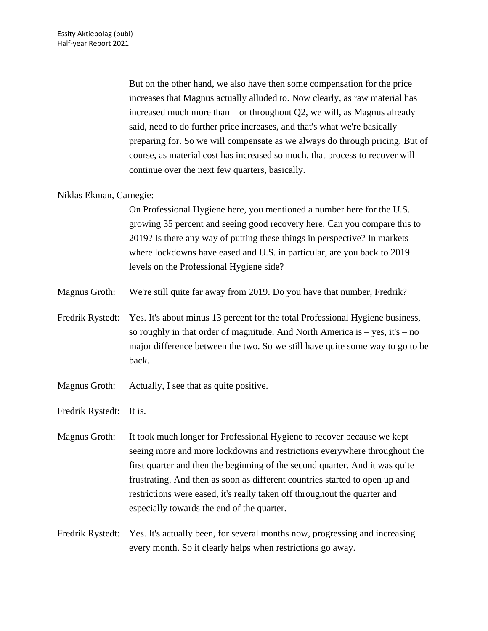But on the other hand, we also have then some compensation for the price increases that Magnus actually alluded to. Now clearly, as raw material has increased much more than – or throughout Q2, we will, as Magnus already said, need to do further price increases, and that's what we're basically preparing for. So we will compensate as we always do through pricing. But of course, as material cost has increased so much, that process to recover will continue over the next few quarters, basically.

# Niklas Ekman, Carnegie:

On Professional Hygiene here, you mentioned a number here for the U.S. growing 35 percent and seeing good recovery here. Can you compare this to 2019? Is there any way of putting these things in perspective? In markets where lockdowns have eased and U.S. in particular, are you back to 2019 levels on the Professional Hygiene side?

- Magnus Groth: We're still quite far away from 2019. Do you have that number, Fredrik?
- Fredrik Rystedt: Yes. It's about minus 13 percent for the total Professional Hygiene business, so roughly in that order of magnitude. And North America is – yes, it's – no major difference between the two. So we still have quite some way to go to be back.
- Magnus Groth: Actually, I see that as quite positive.
- Fredrik Rystedt: It is.

Magnus Groth: It took much longer for Professional Hygiene to recover because we kept seeing more and more lockdowns and restrictions everywhere throughout the first quarter and then the beginning of the second quarter. And it was quite frustrating. And then as soon as different countries started to open up and restrictions were eased, it's really taken off throughout the quarter and especially towards the end of the quarter.

Fredrik Rystedt: Yes. It's actually been, for several months now, progressing and increasing every month. So it clearly helps when restrictions go away.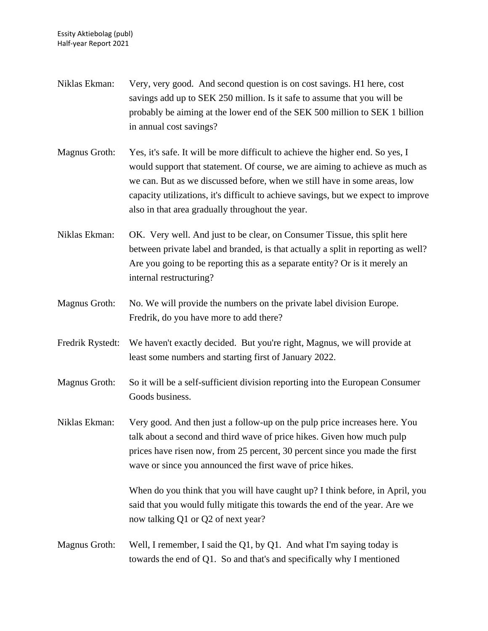Niklas Ekman: Very, very good. And second question is on cost savings. H1 here, cost savings add up to SEK 250 million. Is it safe to assume that you will be probably be aiming at the lower end of the SEK 500 million to SEK 1 billion in annual cost savings? Magnus Groth: Yes, it's safe. It will be more difficult to achieve the higher end. So yes, I would support that statement. Of course, we are aiming to achieve as much as we can. But as we discussed before, when we still have in some areas, low capacity utilizations, it's difficult to achieve savings, but we expect to improve also in that area gradually throughout the year. Niklas Ekman: OK. Very well. And just to be clear, on Consumer Tissue, this split here between private label and branded, is that actually a split in reporting as well? Are you going to be reporting this as a separate entity? Or is it merely an internal restructuring? Magnus Groth: No. We will provide the numbers on the private label division Europe. Fredrik, do you have more to add there? Fredrik Rystedt: We haven't exactly decided. But you're right, Magnus, we will provide at least some numbers and starting first of January 2022. Magnus Groth: So it will be a self-sufficient division reporting into the European Consumer Goods business. Niklas Ekman: Very good. And then just a follow-up on the pulp price increases here. You talk about a second and third wave of price hikes. Given how much pulp prices have risen now, from 25 percent, 30 percent since you made the first wave or since you announced the first wave of price hikes. When do you think that you will have caught up? I think before, in April, you said that you would fully mitigate this towards the end of the year. Are we now talking Q1 or Q2 of next year? Magnus Groth: Well, I remember, I said the Q1, by Q1. And what I'm saying today is towards the end of Q1. So and that's and specifically why I mentioned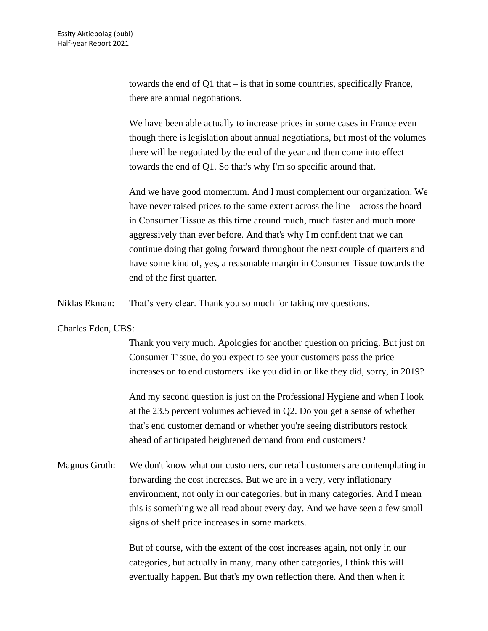towards the end of Q1 that – is that in some countries, specifically France, there are annual negotiations.

We have been able actually to increase prices in some cases in France even though there is legislation about annual negotiations, but most of the volumes there will be negotiated by the end of the year and then come into effect towards the end of Q1. So that's why I'm so specific around that.

And we have good momentum. And I must complement our organization. We have never raised prices to the same extent across the line – across the board in Consumer Tissue as this time around much, much faster and much more aggressively than ever before. And that's why I'm confident that we can continue doing that going forward throughout the next couple of quarters and have some kind of, yes, a reasonable margin in Consumer Tissue towards the end of the first quarter.

Niklas Ekman: That's very clear. Thank you so much for taking my questions.

#### Charles Eden, UBS:

Thank you very much. Apologies for another question on pricing. But just on Consumer Tissue, do you expect to see your customers pass the price increases on to end customers like you did in or like they did, sorry, in 2019?

And my second question is just on the Professional Hygiene and when I look at the 23.5 percent volumes achieved in Q2. Do you get a sense of whether that's end customer demand or whether you're seeing distributors restock ahead of anticipated heightened demand from end customers?

Magnus Groth: We don't know what our customers, our retail customers are contemplating in forwarding the cost increases. But we are in a very, very inflationary environment, not only in our categories, but in many categories. And I mean this is something we all read about every day. And we have seen a few small signs of shelf price increases in some markets.

> But of course, with the extent of the cost increases again, not only in our categories, but actually in many, many other categories, I think this will eventually happen. But that's my own reflection there. And then when it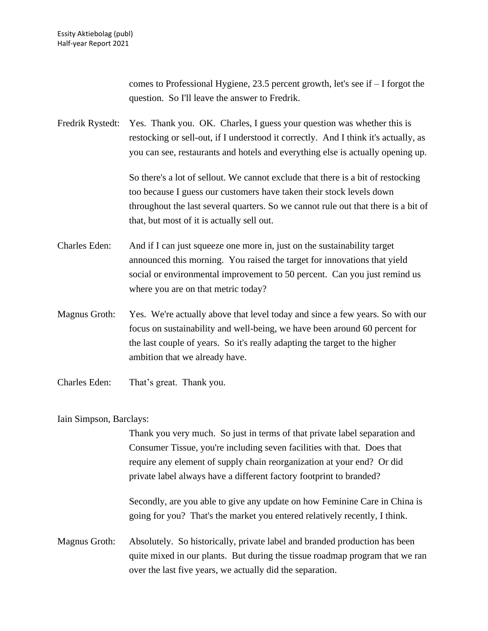comes to Professional Hygiene, 23.5 percent growth, let's see if – I forgot the question. So I'll leave the answer to Fredrik.

Fredrik Rystedt: Yes. Thank you. OK. Charles, I guess your question was whether this is restocking or sell-out, if I understood it correctly. And I think it's actually, as you can see, restaurants and hotels and everything else is actually opening up.

> So there's a lot of sellout. We cannot exclude that there is a bit of restocking too because I guess our customers have taken their stock levels down throughout the last several quarters. So we cannot rule out that there is a bit of that, but most of it is actually sell out.

- Charles Eden: And if I can just squeeze one more in, just on the sustainability target announced this morning. You raised the target for innovations that yield social or environmental improvement to 50 percent. Can you just remind us where you are on that metric today?
- Magnus Groth: Yes. We're actually above that level today and since a few years. So with our focus on sustainability and well-being, we have been around 60 percent for the last couple of years. So it's really adapting the target to the higher ambition that we already have.
- Charles Eden: That's great. Thank you.

Iain Simpson, Barclays:

Thank you very much. So just in terms of that private label separation and Consumer Tissue, you're including seven facilities with that. Does that require any element of supply chain reorganization at your end? Or did private label always have a different factory footprint to branded?

Secondly, are you able to give any update on how Feminine Care in China is going for you? That's the market you entered relatively recently, I think.

Magnus Groth: Absolutely. So historically, private label and branded production has been quite mixed in our plants. But during the tissue roadmap program that we ran over the last five years, we actually did the separation.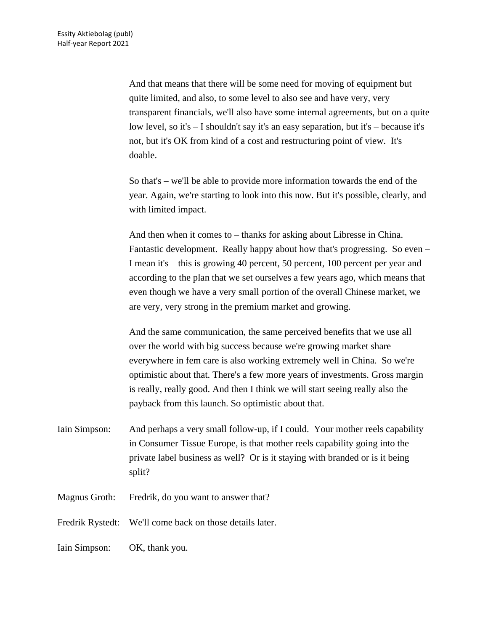And that means that there will be some need for moving of equipment but quite limited, and also, to some level to also see and have very, very transparent financials, we'll also have some internal agreements, but on a quite low level, so it's – I shouldn't say it's an easy separation, but it's – because it's not, but it's OK from kind of a cost and restructuring point of view. It's doable.

So that's – we'll be able to provide more information towards the end of the year. Again, we're starting to look into this now. But it's possible, clearly, and with limited impact.

And then when it comes to – thanks for asking about Libresse in China. Fantastic development. Really happy about how that's progressing. So even – I mean it's – this is growing 40 percent, 50 percent, 100 percent per year and according to the plan that we set ourselves a few years ago, which means that even though we have a very small portion of the overall Chinese market, we are very, very strong in the premium market and growing.

And the same communication, the same perceived benefits that we use all over the world with big success because we're growing market share everywhere in fem care is also working extremely well in China. So we're optimistic about that. There's a few more years of investments. Gross margin is really, really good. And then I think we will start seeing really also the payback from this launch. So optimistic about that.

- Iain Simpson: And perhaps a very small follow-up, if I could. Your mother reels capability in Consumer Tissue Europe, is that mother reels capability going into the private label business as well? Or is it staying with branded or is it being split?
- Magnus Groth: Fredrik, do you want to answer that?
- Fredrik Rystedt: We'll come back on those details later.

Iain Simpson: OK, thank you.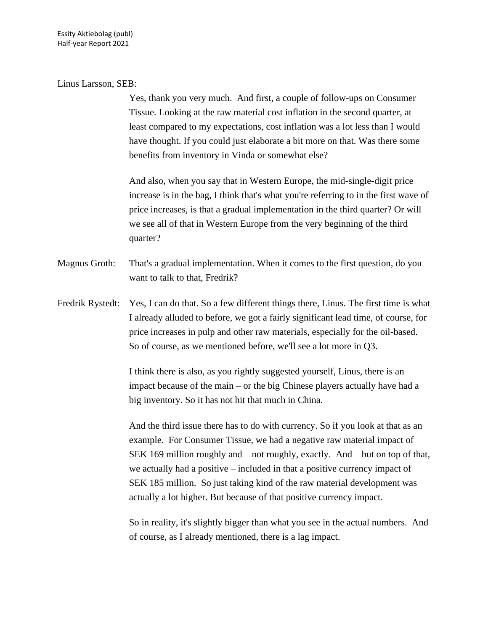#### Linus Larsson, SEB:

Yes, thank you very much. And first, a couple of follow-ups on Consumer Tissue. Looking at the raw material cost inflation in the second quarter, at least compared to my expectations, cost inflation was a lot less than I would have thought. If you could just elaborate a bit more on that. Was there some benefits from inventory in Vinda or somewhat else?

And also, when you say that in Western Europe, the mid-single-digit price increase is in the bag, I think that's what you're referring to in the first wave of price increases, is that a gradual implementation in the third quarter? Or will we see all of that in Western Europe from the very beginning of the third quarter?

Magnus Groth: That's a gradual implementation. When it comes to the first question, do you want to talk to that, Fredrik?

Fredrik Rystedt: Yes, I can do that. So a few different things there, Linus. The first time is what I already alluded to before, we got a fairly significant lead time, of course, for price increases in pulp and other raw materials, especially for the oil-based. So of course, as we mentioned before, we'll see a lot more in Q3.

> I think there is also, as you rightly suggested yourself, Linus, there is an impact because of the main – or the big Chinese players actually have had a big inventory. So it has not hit that much in China.

And the third issue there has to do with currency. So if you look at that as an example. For Consumer Tissue, we had a negative raw material impact of SEK 169 million roughly and – not roughly, exactly. And – but on top of that, we actually had a positive – included in that a positive currency impact of SEK 185 million. So just taking kind of the raw material development was actually a lot higher. But because of that positive currency impact.

So in reality, it's slightly bigger than what you see in the actual numbers. And of course, as I already mentioned, there is a lag impact.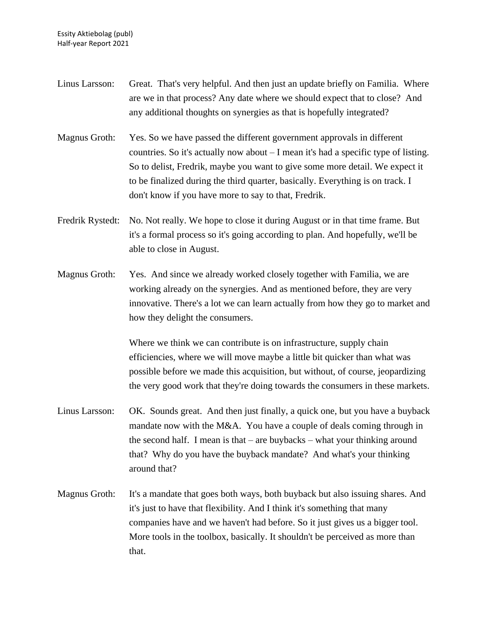- Linus Larsson: Great. That's very helpful. And then just an update briefly on Familia. Where are we in that process? Any date where we should expect that to close? And any additional thoughts on synergies as that is hopefully integrated?
- Magnus Groth: Yes. So we have passed the different government approvals in different countries. So it's actually now about  $-I$  mean it's had a specific type of listing. So to delist, Fredrik, maybe you want to give some more detail. We expect it to be finalized during the third quarter, basically. Everything is on track. I don't know if you have more to say to that, Fredrik.
- Fredrik Rystedt: No. Not really. We hope to close it during August or in that time frame. But it's a formal process so it's going according to plan. And hopefully, we'll be able to close in August.
- Magnus Groth: Yes. And since we already worked closely together with Familia, we are working already on the synergies. And as mentioned before, they are very innovative. There's a lot we can learn actually from how they go to market and how they delight the consumers.

Where we think we can contribute is on infrastructure, supply chain efficiencies, where we will move maybe a little bit quicker than what was possible before we made this acquisition, but without, of course, jeopardizing the very good work that they're doing towards the consumers in these markets.

- Linus Larsson: OK. Sounds great. And then just finally, a quick one, but you have a buyback mandate now with the M&A. You have a couple of deals coming through in the second half. I mean is that – are buybacks – what your thinking around that? Why do you have the buyback mandate? And what's your thinking around that?
- Magnus Groth: It's a mandate that goes both ways, both buyback but also issuing shares. And it's just to have that flexibility. And I think it's something that many companies have and we haven't had before. So it just gives us a bigger tool. More tools in the toolbox, basically. It shouldn't be perceived as more than that.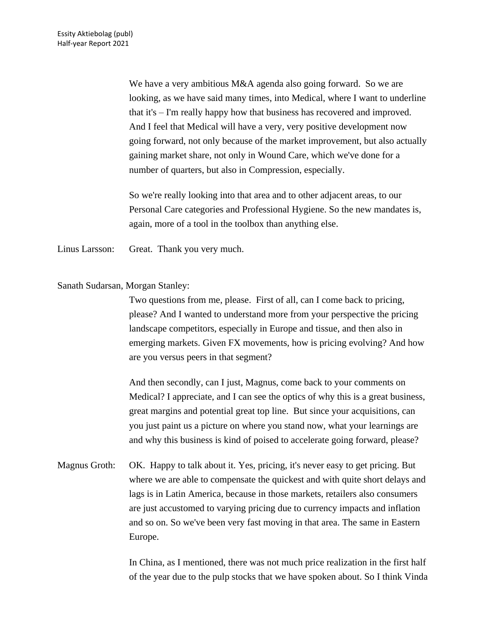We have a very ambitious M&A agenda also going forward. So we are looking, as we have said many times, into Medical, where I want to underline that it's – I'm really happy how that business has recovered and improved. And I feel that Medical will have a very, very positive development now going forward, not only because of the market improvement, but also actually gaining market share, not only in Wound Care, which we've done for a number of quarters, but also in Compression, especially.

So we're really looking into that area and to other adjacent areas, to our Personal Care categories and Professional Hygiene. So the new mandates is, again, more of a tool in the toolbox than anything else.

Linus Larsson: Great. Thank you very much.

Sanath Sudarsan, Morgan Stanley:

Two questions from me, please. First of all, can I come back to pricing, please? And I wanted to understand more from your perspective the pricing landscape competitors, especially in Europe and tissue, and then also in emerging markets. Given FX movements, how is pricing evolving? And how are you versus peers in that segment?

And then secondly, can I just, Magnus, come back to your comments on Medical? I appreciate, and I can see the optics of why this is a great business, great margins and potential great top line. But since your acquisitions, can you just paint us a picture on where you stand now, what your learnings are and why this business is kind of poised to accelerate going forward, please?

Magnus Groth: OK. Happy to talk about it. Yes, pricing, it's never easy to get pricing. But where we are able to compensate the quickest and with quite short delays and lags is in Latin America, because in those markets, retailers also consumers are just accustomed to varying pricing due to currency impacts and inflation and so on. So we've been very fast moving in that area. The same in Eastern Europe.

> In China, as I mentioned, there was not much price realization in the first half of the year due to the pulp stocks that we have spoken about. So I think Vinda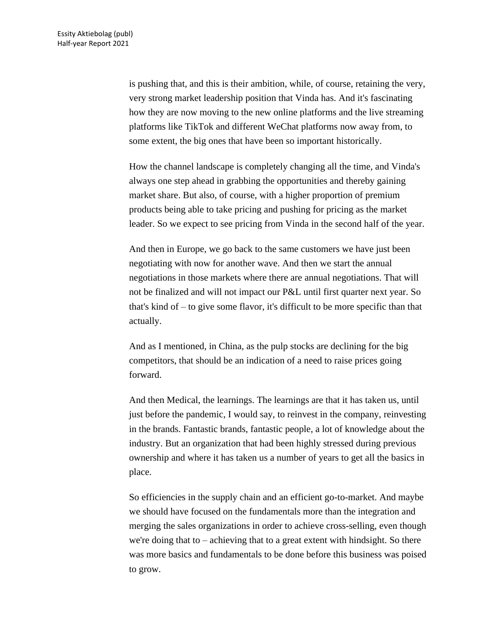is pushing that, and this is their ambition, while, of course, retaining the very, very strong market leadership position that Vinda has. And it's fascinating how they are now moving to the new online platforms and the live streaming platforms like TikTok and different WeChat platforms now away from, to some extent, the big ones that have been so important historically.

How the channel landscape is completely changing all the time, and Vinda's always one step ahead in grabbing the opportunities and thereby gaining market share. But also, of course, with a higher proportion of premium products being able to take pricing and pushing for pricing as the market leader. So we expect to see pricing from Vinda in the second half of the year.

And then in Europe, we go back to the same customers we have just been negotiating with now for another wave. And then we start the annual negotiations in those markets where there are annual negotiations. That will not be finalized and will not impact our P&L until first quarter next year. So that's kind of – to give some flavor, it's difficult to be more specific than that actually.

And as I mentioned, in China, as the pulp stocks are declining for the big competitors, that should be an indication of a need to raise prices going forward.

And then Medical, the learnings. The learnings are that it has taken us, until just before the pandemic, I would say, to reinvest in the company, reinvesting in the brands. Fantastic brands, fantastic people, a lot of knowledge about the industry. But an organization that had been highly stressed during previous ownership and where it has taken us a number of years to get all the basics in place.

So efficiencies in the supply chain and an efficient go-to-market. And maybe we should have focused on the fundamentals more than the integration and merging the sales organizations in order to achieve cross-selling, even though we're doing that to – achieving that to a great extent with hindsight. So there was more basics and fundamentals to be done before this business was poised to grow.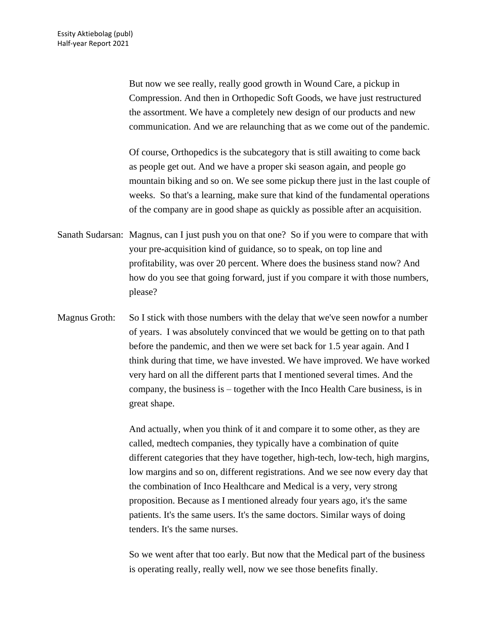But now we see really, really good growth in Wound Care, a pickup in Compression. And then in Orthopedic Soft Goods, we have just restructured the assortment. We have a completely new design of our products and new communication. And we are relaunching that as we come out of the pandemic.

Of course, Orthopedics is the subcategory that is still awaiting to come back as people get out. And we have a proper ski season again, and people go mountain biking and so on. We see some pickup there just in the last couple of weeks. So that's a learning, make sure that kind of the fundamental operations of the company are in good shape as quickly as possible after an acquisition.

- Sanath Sudarsan: Magnus, can I just push you on that one? So if you were to compare that with your pre-acquisition kind of guidance, so to speak, on top line and profitability, was over 20 percent. Where does the business stand now? And how do you see that going forward, just if you compare it with those numbers, please?
- Magnus Groth: So I stick with those numbers with the delay that we've seen nowfor a number of years. I was absolutely convinced that we would be getting on to that path before the pandemic, and then we were set back for 1.5 year again. And I think during that time, we have invested. We have improved. We have worked very hard on all the different parts that I mentioned several times. And the company, the business is – together with the Inco Health Care business, is in great shape.

And actually, when you think of it and compare it to some other, as they are called, medtech companies, they typically have a combination of quite different categories that they have together, high-tech, low-tech, high margins, low margins and so on, different registrations. And we see now every day that the combination of Inco Healthcare and Medical is a very, very strong proposition. Because as I mentioned already four years ago, it's the same patients. It's the same users. It's the same doctors. Similar ways of doing tenders. It's the same nurses.

So we went after that too early. But now that the Medical part of the business is operating really, really well, now we see those benefits finally.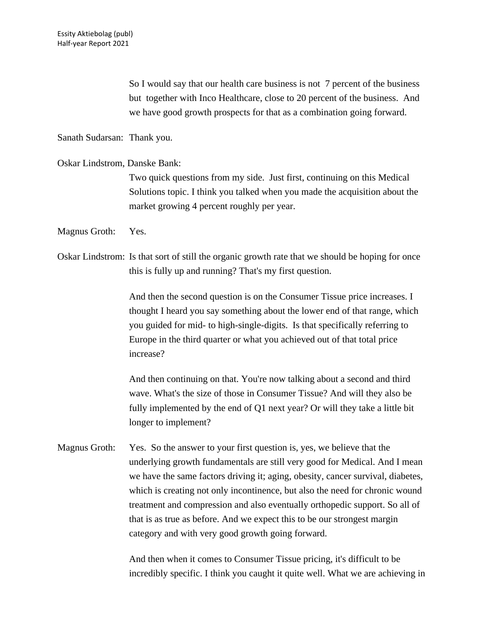So I would say that our health care business is not 7 percent of the business but together with Inco Healthcare, close to 20 percent of the business. And we have good growth prospects for that as a combination going forward.

Sanath Sudarsan: Thank you.

Oskar Lindstrom, Danske Bank:

Two quick questions from my side. Just first, continuing on this Medical Solutions topic. I think you talked when you made the acquisition about the market growing 4 percent roughly per year.

Magnus Groth: Yes.

Oskar Lindstrom: Is that sort of still the organic growth rate that we should be hoping for once this is fully up and running? That's my first question.

> And then the second question is on the Consumer Tissue price increases. I thought I heard you say something about the lower end of that range, which you guided for mid- to high-single-digits. Is that specifically referring to Europe in the third quarter or what you achieved out of that total price increase?

And then continuing on that. You're now talking about a second and third wave. What's the size of those in Consumer Tissue? And will they also be fully implemented by the end of Q1 next year? Or will they take a little bit longer to implement?

Magnus Groth: Yes. So the answer to your first question is, yes, we believe that the underlying growth fundamentals are still very good for Medical. And I mean we have the same factors driving it; aging, obesity, cancer survival, diabetes, which is creating not only incontinence, but also the need for chronic wound treatment and compression and also eventually orthopedic support. So all of that is as true as before. And we expect this to be our strongest margin category and with very good growth going forward.

> And then when it comes to Consumer Tissue pricing, it's difficult to be incredibly specific. I think you caught it quite well. What we are achieving in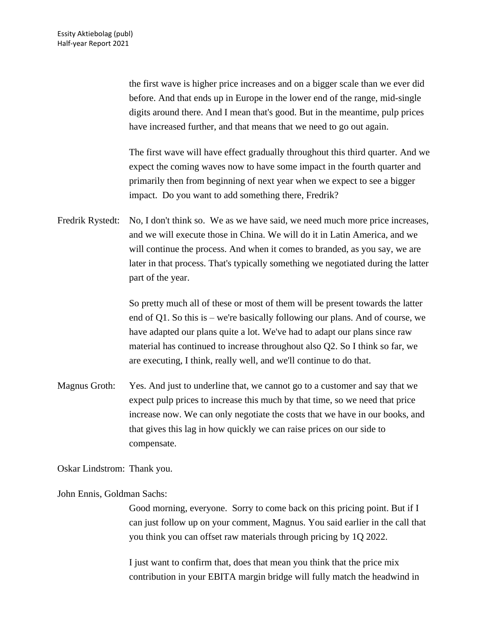the first wave is higher price increases and on a bigger scale than we ever did before. And that ends up in Europe in the lower end of the range, mid-single digits around there. And I mean that's good. But in the meantime, pulp prices have increased further, and that means that we need to go out again.

The first wave will have effect gradually throughout this third quarter. And we expect the coming waves now to have some impact in the fourth quarter and primarily then from beginning of next year when we expect to see a bigger impact. Do you want to add something there, Fredrik?

Fredrik Rystedt: No, I don't think so. We as we have said, we need much more price increases, and we will execute those in China. We will do it in Latin America, and we will continue the process. And when it comes to branded, as you say, we are later in that process. That's typically something we negotiated during the latter part of the year.

> So pretty much all of these or most of them will be present towards the latter end of Q1. So this is – we're basically following our plans. And of course, we have adapted our plans quite a lot. We've had to adapt our plans since raw material has continued to increase throughout also Q2. So I think so far, we are executing, I think, really well, and we'll continue to do that.

Magnus Groth: Yes. And just to underline that, we cannot go to a customer and say that we expect pulp prices to increase this much by that time, so we need that price increase now. We can only negotiate the costs that we have in our books, and that gives this lag in how quickly we can raise prices on our side to compensate.

Oskar Lindstrom: Thank you.

John Ennis, Goldman Sachs:

Good morning, everyone. Sorry to come back on this pricing point. But if I can just follow up on your comment, Magnus. You said earlier in the call that you think you can offset raw materials through pricing by 1Q 2022.

I just want to confirm that, does that mean you think that the price mix contribution in your EBITA margin bridge will fully match the headwind in